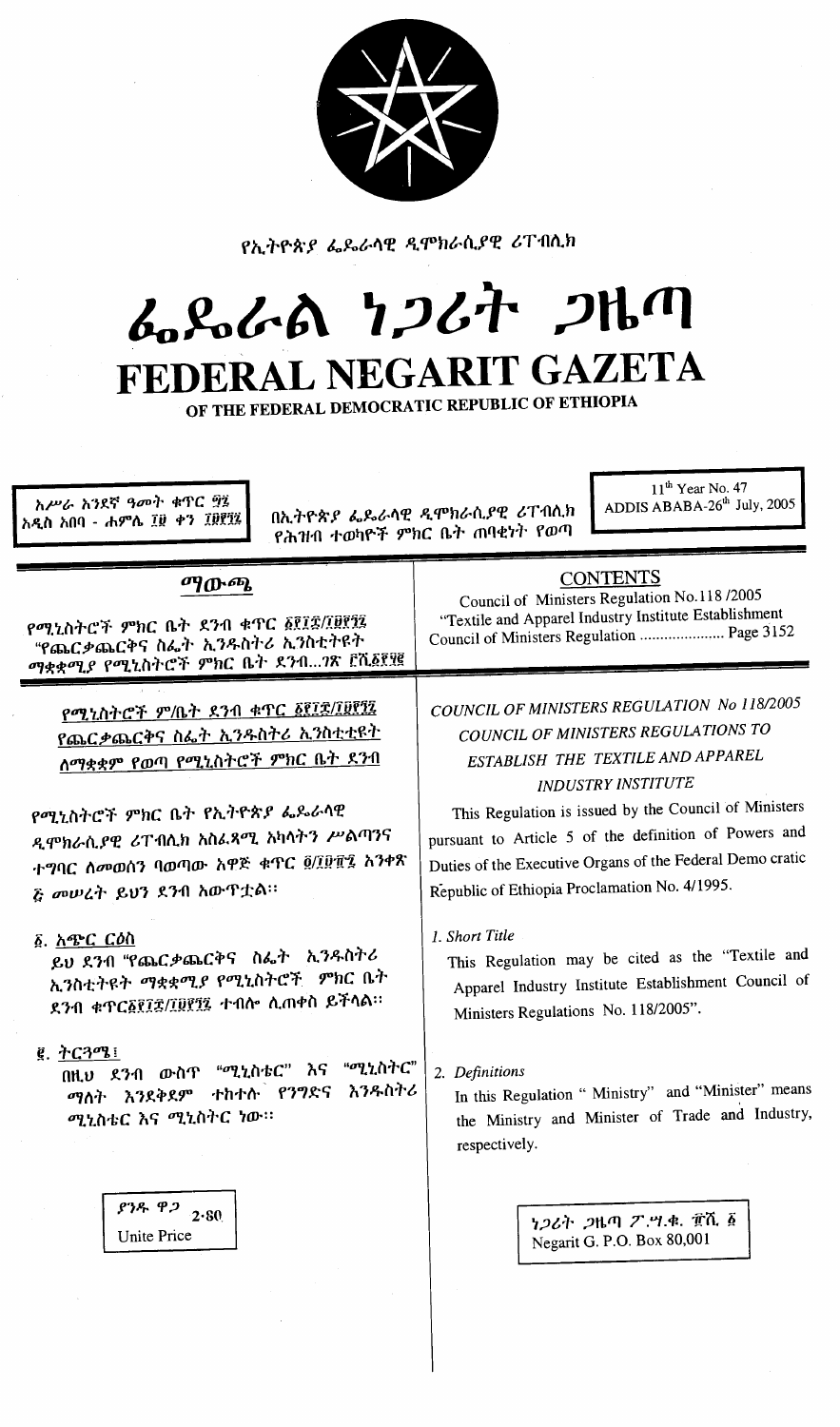

የኢትዮጵያ ፌዴራሳዊ ዲሞክራሲያዊ ሪፐብሲክ

# んぺんの ファムナ フルク FEDERAL NEGARIT GAZETA

OF THE FEDERAL DEMOCRATIC REPUBLIC OF ETHIOPIA

አሥራ አንደኛ ዓመት ቁጥር ፵፯ አዲስ አበባ - ሐምሌ ፲፱ ቀን ፲፱፻፶፯

በኢትዮጵያ ፌዶራላዊ ዲሞክራሲያዊ ሪፐብሊክ የሕዝብ ተወካዮች ምክር ቤት ጠባቂነት የወጣ

 $11^{\text{th}}$  Year No. 47<br>ADDIS ABABA-26<sup>th</sup> July, 2005

| ጣውጫ<br>የሚኒስትሮች ምክር ቤት ደንብ ቁጥር ፩፻፲፰/፲፱፻፺፯<br>"የጨርቃጨርቅና ስፌት ኢንዱስትሪ ኢንስቲትዩት<br>ማቋቋሚያ የሚኒስትሮች ምክር ቤት ደንብ?ጽ ፫ሺ፩፻፶፪                  | <b>CONTENTS</b><br>Council of Ministers Regulation No.118/2005<br>"Textile and Apparel Industry Institute Establishment<br>Council of Ministers Regulation  Page 3152                                         |  |
|--------------------------------------------------------------------------------------------------------------------------------|---------------------------------------------------------------------------------------------------------------------------------------------------------------------------------------------------------------|--|
| የሚኒስትሮች ም/ቤት ደንብ ቁጥር ፩፻፲፰/፲፱፻፺፯<br><u>የጨርቃጨርቅና ስፌት ኢንዱስትሪ ኢንስቲቲዩት</u><br><u>ሰማቋቋም የወጣ የሚኒስትሮች ምክር ቤት ደንብ</u>                   | COUNCIL OF MINISTERS REGULATION No 118/2005<br>COUNCIL OF MINISTERS REGULATIONS TO<br>ESTABLISH THE TEXTILE AND APPAREL<br><b>INDUSTRY INSTITUTE</b><br>This Regulation is issued by the Council of Ministers |  |
| የሚኒስትሮች ምክር ቤት የኢትዮጵያ ፌዶራሳዊ<br>ዲሞክራሲያዊ ሪፐብሊክ አስፌጻሚ አካሳትን ሥልጣንና<br>ተግባር ሰመወሰን ባወጣው አዋጅ ቁጥር ፬/፲፱፻፯ አንቀጽ<br>ሯ መሠረት ይህን ደንብ አውዋቷል። | pursuant to Article 5 of the definition of Powers and<br>Duties of the Executive Organs of the Federal Demo cratic<br>Republic of Ethiopia Proclamation No. 4/1995.                                           |  |
| ፩. <u>አጭር ርዕ</u> ስ<br>ይህ ደንብ "የጨርቃጨርቅና ስፌት ኢንዱስትሪ<br>ኢንስቲትዩት ማቋቋሚያ የሚኒስትሮች ምክር ቤት<br>ደንብ ቁጥር፩፻፲፰/፲፱፻፺፯ ተብሎ ሲጠቀስ ይችሳል።          | 1. Short Title<br>This Regulation may be cited as the "Textile and<br>Apparel Industry Institute Establishment Council of<br>Ministers Regulations No. 118/2005".                                             |  |
| $g$ , ትርጓሜ!<br>"ሚኒስትር"<br>በዚህ ደንብ ውስጥ "ሚኒስቴር" እና<br>እንዱስትሪ<br>ማለት እንደቅደም ተከተሱ የንግድና<br>ሚኒስቴር እና ሚኒስትር ነው።                      | 2. Definitions<br>In this Regulation " Ministry" and "Minister" means<br>the Ministry and Minister of Trade and Industry,<br>respectively.                                                                    |  |
| ያንዱ ዋጋ<br>2.80<br>Unite Price                                                                                                  | ነ <i>ጋ</i> ሪት <i>ጋ</i> ዜጣ ፖ.ሣ.ቁ. ፹ሺ ፩<br>Negarit G. P.O. Box 80,001                                                                                                                                           |  |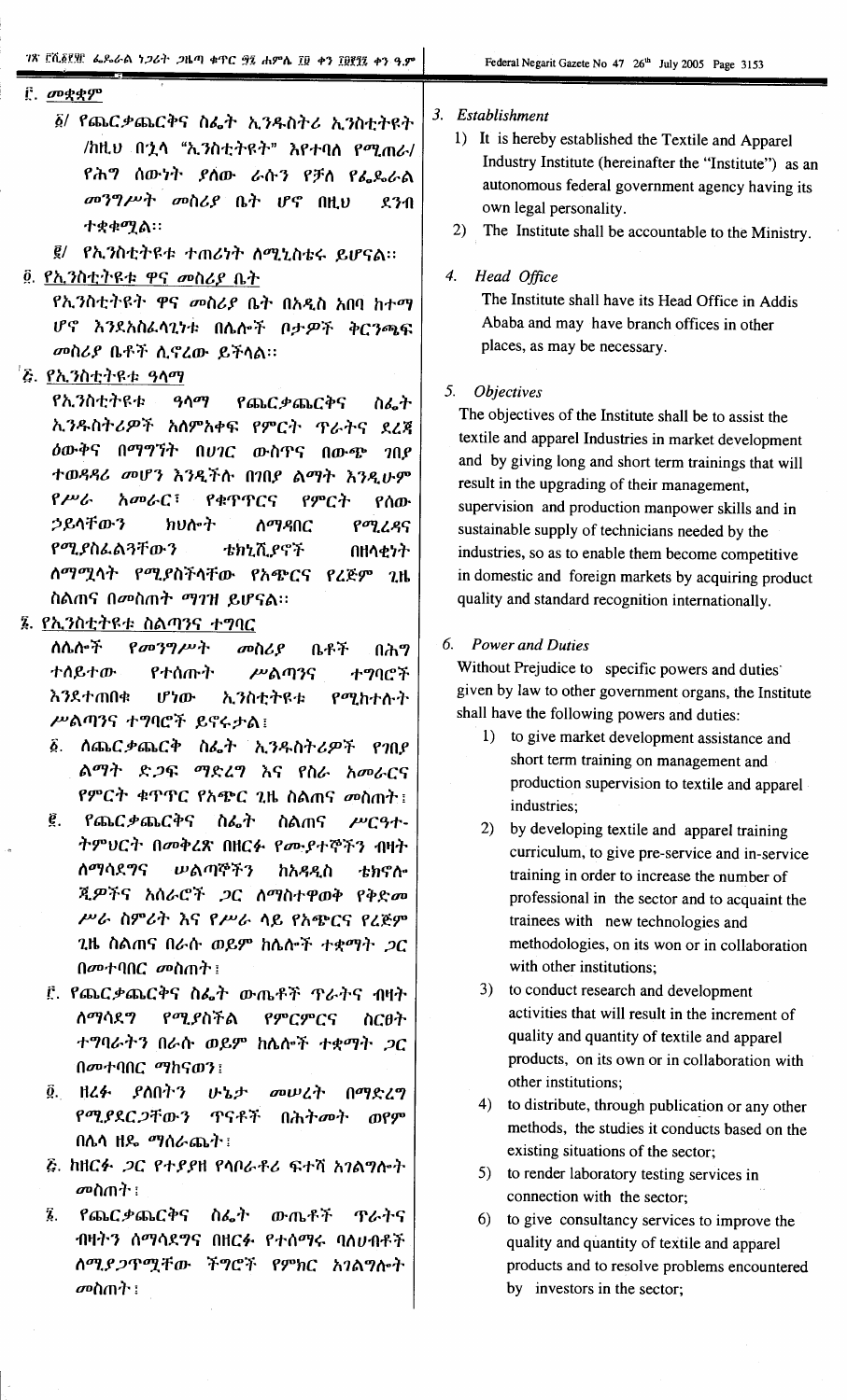### **[** *σ***υ**ςς συ

፩/ የጨርቃጨርቅና ስፌት ኢንዱስትሪ ኢንስቲትዩት /ከዚህ በኋላ "ኢንስቲትዩት" እየተባለ የሚጠራ/ የሕግ ሰውነት ያሰው ራሱን የቻሰ የፌጼራል መንግሥት መስሪያ ቤት ሆኖ በዚህ  $231$ ተቋቁሚል።

፪/ የኢንስቲትዩቱ ተጠሪነት ስሚኒስቴሩ ይሆናል።

# ፬. የኢንስቲትዩቱ ዋና መስሪያ ቤት

የኢንስቲትዩት ዋና መስሪያ ቤት በአዲስ አበባ ከተማ ሆኖ እንደአስፌሳጊነቱ በሌሎች ቦታዎች ቅርንጫፍ መስሪያ ቤቶች ሲኖረው ይችላል።

# *፞፝<u>፟ዼ የኢንስቲትዩቱ ዓላማ</u>*

የኢንስቲትዩቱ  $90q$ የጨርቃጨርቅና ስፌት ኢንዱስትሪዎች አለምአቀፍ የምርት ጥራትና ደረጃ ዕውቅና በማግኘት በሀገር ውስጥና በውጭ ገበያ ተወዳዳሪ መሆን እንዲችሱ በገበያ ልማት እንዲሁም  $P^{\mu\nu}$ አመራር፣ የቁጥጥርና የምርት የሰው ኃይላቸውን የሚረዳና **わりかた** ስማዳበር የሚያስፌልጓቸውን ቴክኒሺያኖች በዘላቂነት ለማሚላት የሚያስችላቸው የአጭርና የረጅም ጊዜ ስልጠና በመስጠት ማገዝ ይሆናል።

# ፮. <u>የኢንስቲትዩቱ ስልጣ</u>ንና ተግባር

 $\beta$ መንግሥት ስሴሎች መስሪያ ቤቶች በሕግ ተሰይተው የተሰጡት ሥልጣንና ተማባሮች **እንደተጠበቁ** ሆነው ኢንስቲትዩቱ የሚከተሱት ሥልጣንና ተግባሮች ይኖሩታል፤

- ፩. ሰጨር*ቃ*ጨርቅ ስፌት ኢንዱስትሪዎች የገበደ ልማት ድ*ጋ*ፍ ማድረግ እና የስራ አመራርና የምርት ቁጥጥር የአጭር ጊዜ ስልጠና መስጠት ፤
- ê. የጨርቃጨርቅና ስፌት ስልጠና  $\mu$ <sup> $q$ </sup> $+$ ትምህርት በመቅረጽ በዘርፉ የሙያተኞችን ብዛት ስማሳደማና **ሠልጣኞችን** ከአዳዲስ ቴክኖሎ ጂዎችና አሰራሮች ጋር ለማስተዋወቅ የቅድመ ሥራ ስምሪት እና የሥራ ላይ የአጭርና የረጅም ጊዜ ስልጠና በራሱ ወይም ከሴሎች ተቋማት ጋር በመተባበ $C$  መስጠት ፡
- ፫. የጨር*ቃ*ጨርቅና ስፌት ውጤቶች ዋራትና ብዛት ስማሳደግ የሚያስችል የምርምርና ስርፀት ተግባራትን በራሱ ወይም ከሴሎች ተቋማት ጋር በመተባበር ማከናወን፤
- ĝ. ዘረፉ ያስበትን いっと መሠረት በማድረግ የሚያደር ጋቸውን **ጥናቶች** በሕትመት ወየም በሴሳ ዘዴ ማሰራጨት፣
- *ξ. ከዘርፉ ጋር የተያያዘ የሳበራቶሪ ፍተሻ አገልግሎት* መስጠት ፣
- Z. የጨርቃጨርቅና ስፌት ውጤቶች ጥራትና ብዛትን ሰማሳደግና በዘርፉ የተሰማሩ ባለሀብቶች ስሚያጋጥሟቸው ችግሮች የምክር አገልግሎት መስጠት ፡

#### 3. Establishment

- 1) It is hereby established the Textile and Apparel Industry Institute (hereinafter the "Institute") as an autonomous federal government agency having its own legal personality.
- The Institute shall be accountable to the Ministry.  $(2)$

#### $\overline{4}$ . Head Office

The Institute shall have its Head Office in Addis Ababa and may have branch offices in other places, as may be necessary.

# 5. Objectives

The objectives of the Institute shall be to assist the textile and apparel Industries in market development and by giving long and short term trainings that will result in the upgrading of their management, supervision and production manpower skills and in sustainable supply of technicians needed by the industries, so as to enable them become competitive in domestic and foreign markets by acquiring product quality and standard recognition internationally.

## 6. Power and Duties

Without Prejudice to specific powers and duties given by law to other government organs, the Institute shall have the following powers and duties:

- 1) to give market development assistance and short term training on management and production supervision to textile and apparel industries;
- 2) by developing textile and apparel training curriculum, to give pre-service and in-service training in order to increase the number of professional in the sector and to acquaint the trainees with new technologies and methodologies, on its won or in collaboration with other institutions;
- 3) to conduct research and development activities that will result in the increment of quality and quantity of textile and apparel products, on its own or in collaboration with other institutions;
- 4) to distribute, through publication or any other methods, the studies it conducts based on the existing situations of the sector;
- 5) to render laboratory testing services in connection with the sector;
- $6)$ to give consultancy services to improve the quality and quantity of textile and apparel products and to resolve problems encountered by investors in the sector;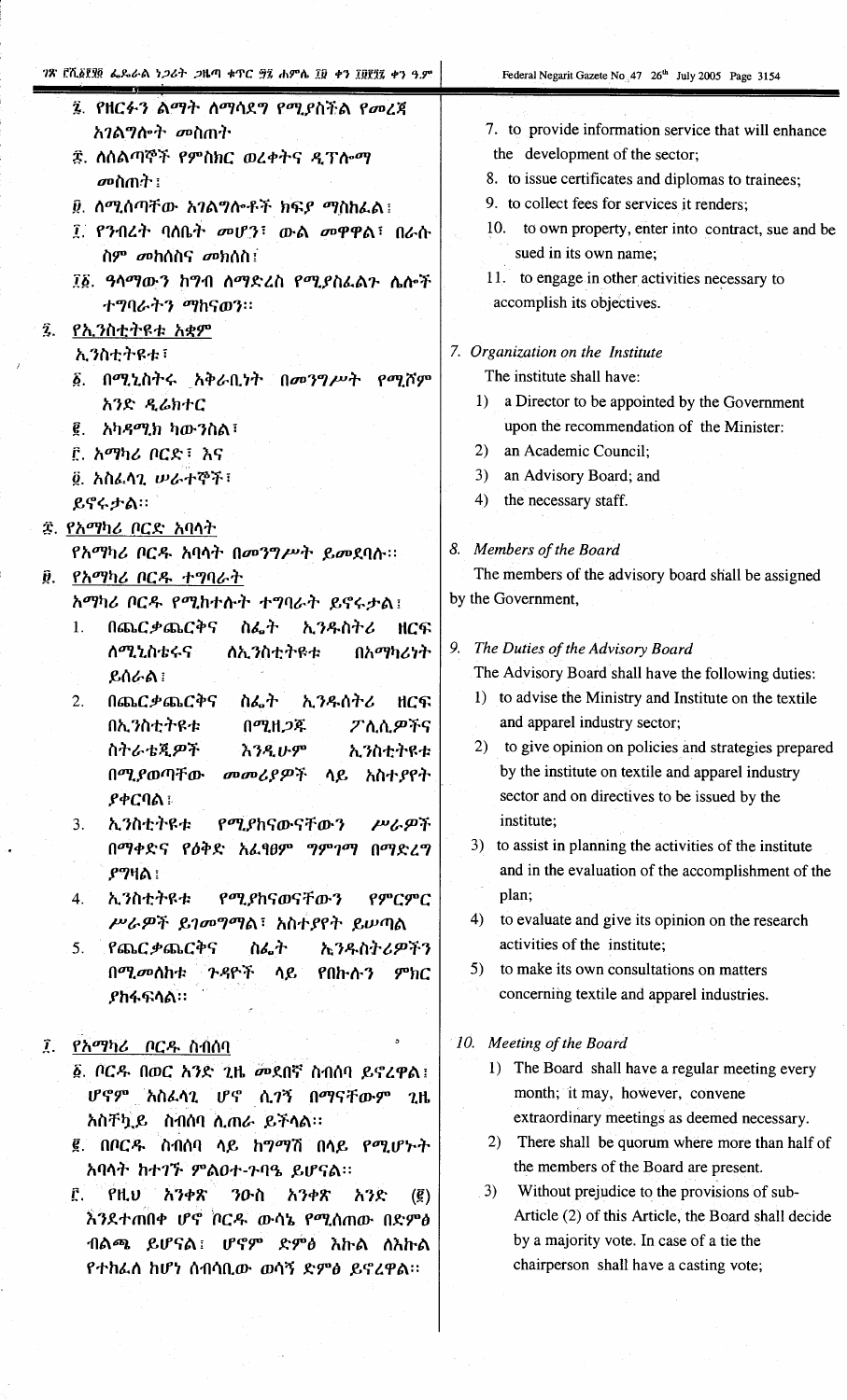|             | ገጽ በሺ፩፻፶፬ ፌዶራል ነጋሪት ጋዜጣ ቁጥር ፵፯ ሐምሴ ፲፱ ቀን ፲፱፻፺፯ ቀን ዓ.ም    | Federal Negarit Gazete No 47 26 <sup>th</sup> July 2005 Page 3154             |
|-------------|----------------------------------------------------------|-------------------------------------------------------------------------------|
|             | ፯. የዘርፉን ልማት ለማሳደግ የሚያስችል የመረጃ<br><i>አገ</i> ልግሎት መስጠት    | 7. to provide information service that will enhance                           |
|             |                                                          | the development of the sector;                                                |
|             | ፰. ስሰልጣኞች የምስክር ወረቀትና ዲፕሎማ                               | 8. to issue certificates and diplomas to trainees;                            |
|             | መስጠት ፡                                                   | 9. to collect fees for services it renders:                                   |
|             | <u>፱</u> . ሰሚሰጣቸው አገልግሎቶች ክፍ <i>ያ ማ</i> ስከፌል፤            |                                                                               |
|             | ፲ የንብረት ባለቤት መሆን፣ ውል መዋዋል፣ በራሱ<br>ስም <i>መ</i> ከሰስና መክሰስ፤ | 10. to own property, enter into contract, sue and be<br>sued in its own name; |
|             | ፲፩. ዓላማውን ከግብ ለማድረስ የሚያስራልጉ ሌሎች<br>ተግባራትን ማከናወን።         | 11. to engage in other activities necessary to<br>accomplish its objectives.  |
| Ĩ.          | <u>የኢንስቲትዩቱ አቋም</u>                                      |                                                                               |
|             | ኢንስቲትዩቱ፣                                                 | 7. Organization on the Institute                                              |
|             | ፩. በሚኒስትሩ አቅራቢነት በመንግሥት የሚሾም                             | The institute shall have:                                                     |
|             | አንድ ዲሬክተር                                                | a Director to be appointed by the Government<br>1)                            |
|             | አካ <i>ዳሚክ</i> ካውንስል፣<br><u>ê</u> .                       | upon the recommendation of the Minister:                                      |
|             | ፫. አማካሪ ቦርድ፣ እና                                          | an Academic Council;<br>2)                                                    |
|             |                                                          | an Advisory Board; and<br>3)                                                  |
|             | g. አስፌሳጊ ሠራተኞች፣                                          | the necessary staff.<br>4)                                                    |
|             | ይኖሩታል።                                                   |                                                                               |
|             | <i>፰. የአማካሪ ቦርድ አባ</i> ሳት                                |                                                                               |
|             | የአማካሪ ቦርዱ አባላት በመንግሥት ይመደባሉ።                             | 8. Members of the Board                                                       |
| Ŷ.          | <u>የአማካሪ</u> ቦርዱ ተግባራት                                   | The members of the advisory board shall be assigned                           |
|             | አማካሪ ቦርዱ የሚከተሱት ተግባራት ይኖሩታል፤                             | by the Government,                                                            |
|             | በጨርቃጨርቅና ስፌት ኢንዱስትሪ<br>1.<br>ዘርፍ                         |                                                                               |
|             | <b>ስሚኒስቴሩና</b><br>ለኢንስቲትዩቱ<br>በአማካሪነት                    | The Duties of the Advisory Board<br>9.                                        |
|             | ይሰራል ፤                                                   | The Advisory Board shall have the following duties:                           |
|             | በጨርቃጨርቅና<br>ኢንዱሰትሪ<br>2.<br>ስፌት<br>ዘርፍ <sup>1</sup>      | to advise the Ministry and Institute on the textile<br>1)                     |
|             | በኢንስቲትዩቱ<br>በሚዘጋጁ<br>ፖሊሲዎችና                              | and apparel industry sector;                                                  |
|             | ስትራቴጂዎች<br>ኢንስቲትዩቱ<br>እንዲሁም                              | to give opinion on policies and strategies prepared<br>2)                     |
|             | በሚያወጣቸው<br>መመሪያዎች<br>አስተያየት<br>ሳይ                        | by the institute on textile and apparel industry                              |
|             | <b>ያቀርባል</b> ፡                                           | sector and on directives to be issued by the                                  |
|             | ኢንስቲትዩቱ<br>የሚያከናውናቸውን<br>ሥራዎች<br>3.                      | institute;                                                                    |
|             | በማቀድና የዕቅድ አፌፃፀም ግምገማ<br>በማድረግ                           | to assist in planning the activities of the institute<br>3)                   |
|             |                                                          | and in the evaluation of the accomplishment of the                            |
|             | <i>ያግ</i> ዛል ፡                                           | plan;                                                                         |
|             | ኢንስቲትዩቱ<br>የሚያከናወናቸውን<br>የምርምር<br>4.                     |                                                                               |
|             | ሥራዎች ይገመግማል፣ አስተያየት ይሠጣል                                 | to evaluate and give its opinion on the research<br>4)                        |
|             | የጨርቃጨርቅና<br>ስፌት<br><b>ኢንዱስትሪዎችን</b><br>5.                | activities of the institute;                                                  |
|             | ጉዳዮች<br>በሚመለከቱ<br>ሳይ<br>የበኩሱን<br>$phi$                   | to make its own consultations on matters<br>5)                                |
|             | <b>ያከፋፍሳል።</b>                                           | concerning textile and apparel industries.                                    |
|             |                                                          |                                                                               |
| $\hat{I}$ . | የአማካሪ ቦርዱ ስብሰባ                                           | 10. Meeting of the Board                                                      |
|             | ፩. ቦርዱ በወር አንድ ጊዜ መደበኛ ስብሰባ ይኖረዋል።                       | 1) The Board shall have a regular meeting every                               |
|             | ሆኖም አስራሳጊ ሆኖ ሲ <i>ገ</i> ኝ በማናቸውም<br>2 <sub>th</sub>      | month; it may, however, convene                                               |
|             | አስቸኳይ ስብሰባ ሲጠራ ይችሳል።                                     | extraordinary meetings as deemed necessary.                                   |
|             | ፪. በቦርዱ ስብሰባ ሳይ ከግማሽ በሳይ የሚሆኑት                           | There shall be quorum where more than half of<br>2)                           |
|             | አባሳት ከተገኙ ምልዐተ-ጉባዔ ይሆናል።                                 | the members of the Board are present.                                         |
|             | የዚህ አንቀጽ<br>Ê.<br>ንዑስ<br>አንቀጽ                            | 3)<br>Without prejudice to the provisions of sub-                             |
|             | አንድ<br>$\left(\vec{g}\right)$                            | Article (2) of this Article, the Board shall decide                           |
|             | እንደተጠበቀ ሆኖ ቦርዱ ውሳኔ የሚሰጠው በድምፅ                            | by a majority vote. In case of a tie the                                      |
|             | ብልጫ ይሆናል፤<br>ሆኖም ድምፅ እኩል ለእኩል                            |                                                                               |
|             | የተከፌሰ ከሆነ ሰብሳቢው ወሳኝ ድምፅ ይኖረዋል።                           | chairperson shall have a casting vote;                                        |
|             |                                                          |                                                                               |
|             |                                                          |                                                                               |
|             |                                                          |                                                                               |

i<br>S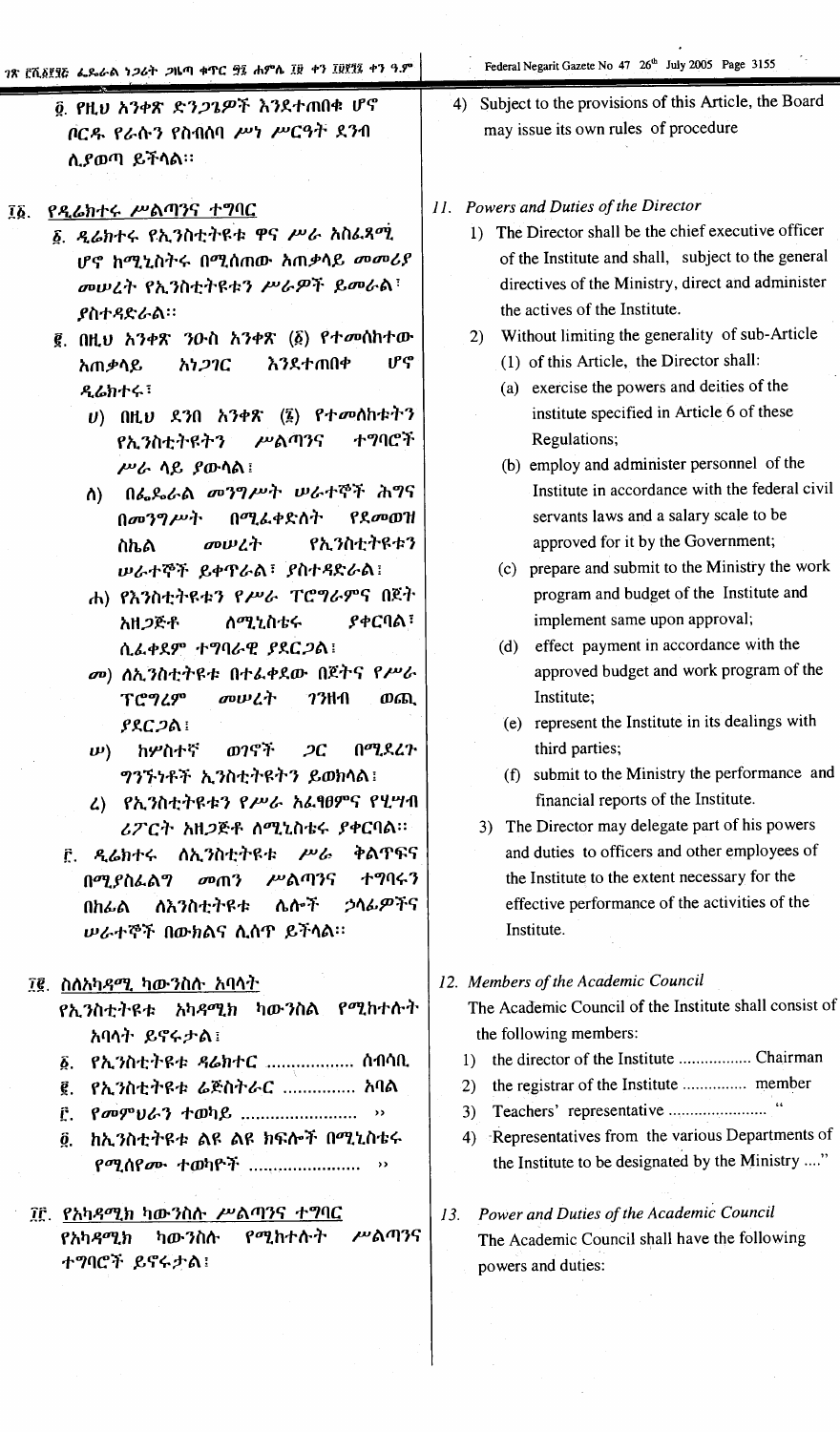7ጽ ሮሺ፩፻፶፫ ፌዴራል ነ*ጋ*ሪት *ጋ*ዜጣ ቁጥር ፵፯ ሐምሴ ፲፱ ቀን ፲፱፻፺፯ ቀን ዓ.ም

- ፬ የዚህ አንቀጽ ድን*ጋጌዎች* እንደተጠበቁ ሆኖ ቦርዱ የራሱን የስብለባ ሥነ ሥርዓት ደንብ ሲያወጣ ይችላል።
- ፲፩. የዲሬክተሩ ሥልጣንና ተግባር
	- ፩. ዲሬክተሩ የኢንስቲትዩቱ ዋና ሥራ አስፌጻሚ ሆኖ ከሚኒስትሩ በሚሰጠው ስጠቃሳይ መመሪያ መሠረት የኢንስቲትዩቱን ሥራዎች ይመራል፣ **ያስተዳድራል።**
	- ፪. በዚህ አንቀጽ ንዑስ አንቀጽ (፩) የተመሰከተው ሆኖ እንደተጠበቀ አጠቃሳይ አነጋገር ዲሬክተሩ!
		- $U$ ) በዚህ ደንበ አንቀጽ (፮) የተመሰከቱትን ተግባሮች የኢንስቲትዩትን ሥልጣንና ሥራ ሳይ ያውሳል!
		- በፌዶራል መንግሥት ሠራተኞች ሕግና ስ) በመንግሥት በሚፌቀድስት የደመወዝ መሠረት የኢንስቲትዩቱን ስኬል ሠራተኞች ይቀዋራል፣ ያስተዳድራል!
		- ሐ) የእንስቲትዩቱን የሥራ ፐሮግራምና በጀት <u>ለሚኒስቴሩ</u> ያቀርባል፣ አዘ*ጋ*ጅቶ ሲፌቀደም ተግባራዊ ያደርጋል!
		- መ) ሰኢንስቲትዩቱ በተፌቀደው በጀትና የሥራ መሠረት  $73<sub>th</sub>$ **TC949** ወጪ  $PAC<sub>2</sub>$ a
		- በሚደረጉ  $\boldsymbol{\nu}$ ) ከሦስተኛ ወንኖች  $2C$ ግንኙነቶች ኢንስቲትዩትን ይወክላል!
		- ሬ) የኢንስቲትዩቱን የሥራ አፌፃፀምና የሂሣብ ሪፖርት አዘጋጅቶ ስሚኒስቴሩ ያቀርባል።
	- ፫. ዲሬክተሩ ለኢንስቲትዩቱ ሥራ ቅልጥፍና  $\omega$  m<sup>3</sup> ሥልጣንና ナツリチン በሚያስፌልግ ሌሎች ኃላፊዎችና ለእንስቲትዩቱ በከፊል ሥራተኞች በውክልና ሲሰዋ ይችላል።
	- ፲፪. ስለአካዳሚ ካ<u>ውንስሱ አባላት</u>
		- የኢንስቲትዩቱ አካዳሚክ ካውንስል የሚከተሱት አባላት ይኖሩታል፤
		- ፩. የኢንስቲትዩቱ ዳሬክተር .................. ሰብሳቢ
		- ፪. የኢንስቲትዩቱ ሬጅስትራር ............... አባል
		- [ የመምሀራን ተወካይ ......................... »
		- ፬. ከኢንስቲትዩቱ ልዩ ልዩ ክፍሎች በሚኒስቴሩ የሚሰየሙ ተወካዮች ......................... ››
	- ፲፫. የአካዳሚክ ካውንስሉ ሥልጣንና ተግባር ሥልጣንና የሚከተሱት የአካዳሚክ ካውንስሱ ተግባሮች ይኖሩታል፤
- Federal Negarit Gazete No 47 26th July 2005 Page 3155
- 4) Subject to the provisions of this Article, the Board may issue its own rules of procedure
- 11. Powers and Duties of the Director
	- 1) The Director shall be the chief executive officer of the Institute and shall, subject to the general directives of the Ministry, direct and administer the actives of the Institute.
	- 2) Without limiting the generality of sub-Article
		- (1) of this Article, the Director shall:
		- (a) exercise the powers and deities of the institute specified in Article 6 of these Regulations;
		- (b) employ and administer personnel of the Institute in accordance with the federal civil servants laws and a salary scale to be approved for it by the Government;
		- (c) prepare and submit to the Ministry the work program and budget of the Institute and implement same upon approval;
		- (d) effect payment in accordance with the approved budget and work program of the Institute;
		- (e) represent the Institute in its dealings with third parties;
		- (f) submit to the Ministry the performance and financial reports of the Institute.
		- 3) The Director may delegate part of his powers and duties to officers and other employees of the Institute to the extent necessary for the effective performance of the activities of the Institute.

# 12. Members of the Academic Council

The Academic Council of the Institute shall consist of the following members:

- 
- 2) the registrar of the Institute ................ member
- 
- 4) Representatives from the various Departments of the Institute to be designated by the Ministry ...."
- Power and Duties of the Academic Council  $13.$ The Academic Council shall have the following powers and duties: